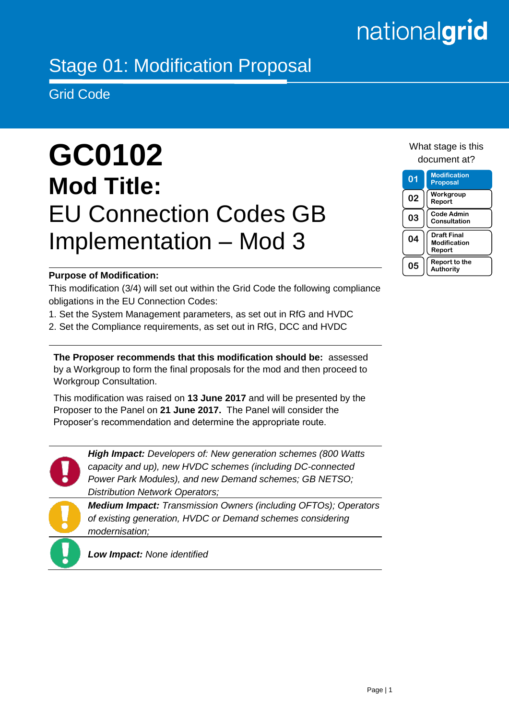# nationalgrid

# Stage 01: Modification Proposal

Grid Code

# **GC0102 Mod Title:** EU Connection Codes GB Implementation – Mod 3

# What stage is this document at?

#### **01 Modification Proposal 02 Workgroup Report 03 Code Admin Consultation 04 Draft Final Modification Report 05 Report to the Authority**

# **Purpose of Modification:**

This modification (3/4) will set out within the Grid Code the following compliance obligations in the EU Connection Codes:

- 1. Set the System Management parameters, as set out in RfG and HVDC
- 2. Set the Compliance requirements, as set out in RfG, DCC and HVDC

**The Proposer recommends that this modification should be:** assessed by a Workgroup to form the final proposals for the mod and then proceed to Workgroup Consultation.

This modification was raised on **13 June 2017** and will be presented by the Proposer to the Panel on **21 June 2017.** The Panel will consider the Proposer's recommendation and determine the appropriate route.



*High Impact: Developers of: New generation schemes (800 Watts capacity and up), new HVDC schemes (including DC-connected Power Park Modules), and new Demand schemes; GB NETSO; Distribution Network Operators;*

*Medium Impact: Transmission Owners (including OFTOs); Operators of existing generation, HVDC or Demand schemes considering modernisation;* 

*Low Impact: None identified*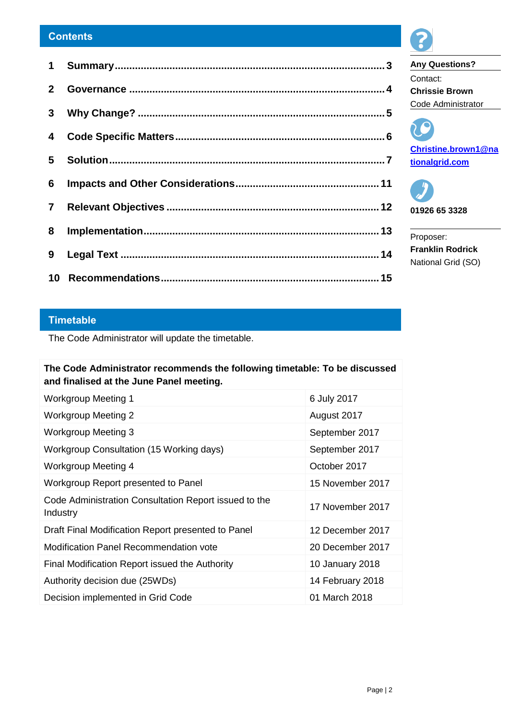#### **Contents**

### **Timetable**

The Code Administrator will update the timetable.

# **The Code Administrator recommends the following timetable: To be discussed and finalised at the June Panel meeting.**

| <b>Workgroup Meeting 1</b>                                        | 6 July 2017      |
|-------------------------------------------------------------------|------------------|
| <b>Workgroup Meeting 2</b>                                        | August 2017      |
| <b>Workgroup Meeting 3</b>                                        | September 2017   |
| Workgroup Consultation (15 Working days)                          | September 2017   |
| <b>Workgroup Meeting 4</b>                                        | October 2017     |
| Workgroup Report presented to Panel                               | 15 November 2017 |
| Code Administration Consultation Report issued to the<br>Industry | 17 November 2017 |
| Draft Final Modification Report presented to Panel                | 12 December 2017 |
| <b>Modification Panel Recommendation vote</b>                     | 20 December 2017 |
| Final Modification Report issued the Authority                    | 10 January 2018  |
| Authority decision due (25WDs)                                    | 14 February 2018 |
| Decision implemented in Grid Code                                 | 01 March 2018    |



**Any Questions?** Contact: **Chrissie Brown**  Code Administrator





Proposer: **Franklin Rodrick** National Grid (SO)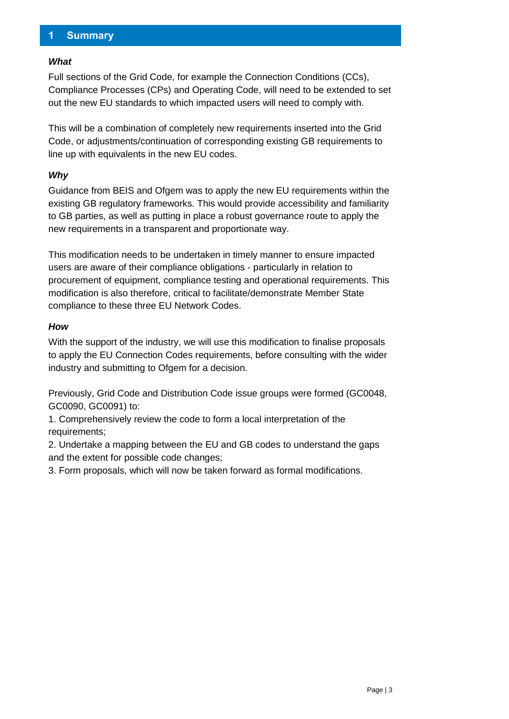# <span id="page-2-0"></span>**1 Summary**

#### *What*

Full sections of the Grid Code, for example the Connection Conditions (CCs), Compliance Processes (CPs) and Operating Code, will need to be extended to set out the new EU standards to which impacted users will need to comply with.

This will be a combination of completely new requirements inserted into the Grid Code, or adjustments/continuation of corresponding existing GB requirements to line up with equivalents in the new EU codes.

#### *Why*

Guidance from BEIS and Ofgem was to apply the new EU requirements within the existing GB regulatory frameworks. This would provide accessibility and familiarity to GB parties, as well as putting in place a robust governance route to apply the new requirements in a transparent and proportionate way.

This modification needs to be undertaken in timely manner to ensure impacted users are aware of their compliance obligations - particularly in relation to procurement of equipment, compliance testing and operational requirements. This modification is also therefore, critical to facilitate/demonstrate Member State compliance to these three EU Network Codes.

#### *How*

With the support of the industry, we will use this modification to finalise proposals to apply the EU Connection Codes requirements, before consulting with the wider industry and submitting to Ofgem for a decision.

Previously, Grid Code and Distribution Code issue groups were formed (GC0048, GC0090, GC0091) to:

1. Comprehensively review the code to form a local interpretation of the requirements;

2. Undertake a mapping between the EU and GB codes to understand the gaps and the extent for possible code changes;

3. Form proposals, which will now be taken forward as formal modifications.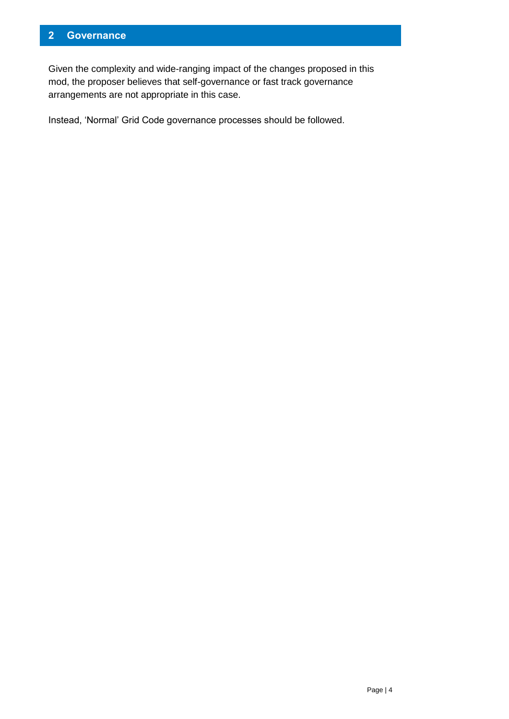# <span id="page-3-0"></span>**2 Governance**

Given the complexity and wide-ranging impact of the changes proposed in this mod, the proposer believes that self-governance or fast track governance arrangements are not appropriate in this case.

Instead, 'Normal' Grid Code governance processes should be followed.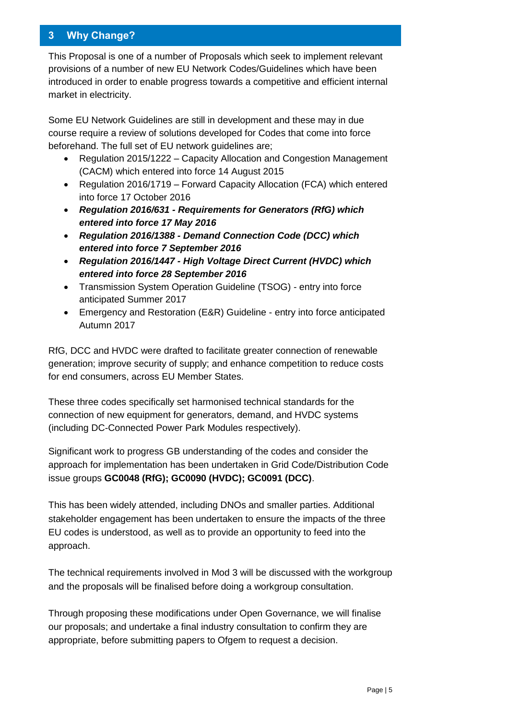# <span id="page-4-0"></span>**3 Why Change?**

This Proposal is one of a number of Proposals which seek to implement relevant provisions of a number of new EU Network Codes/Guidelines which have been introduced in order to enable progress towards a competitive and efficient internal market in electricity.

Some EU Network Guidelines are still in development and these may in due course require a review of solutions developed for Codes that come into force beforehand. The full set of EU network guidelines are;

- Regulation 2015/1222 Capacity Allocation and Congestion Management (CACM) which entered into force 14 August 2015
- Regulation 2016/1719 Forward Capacity Allocation (FCA) which entered into force 17 October 2016
- *Regulation 2016/631 - Requirements for Generators (RfG) which entered into force 17 May 2016*
- *Regulation 2016/1388 - Demand Connection Code (DCC) which entered into force 7 September 2016*
- *Regulation 2016/1447 - High Voltage Direct Current (HVDC) which entered into force 28 September 2016*
- Transmission System Operation Guideline (TSOG) entry into force anticipated Summer 2017
- Emergency and Restoration (E&R) Guideline entry into force anticipated Autumn 2017

RfG, DCC and HVDC were drafted to facilitate greater connection of renewable generation; improve security of supply; and enhance competition to reduce costs for end consumers, across EU Member States.

These three codes specifically set harmonised technical standards for the connection of new equipment for generators, demand, and HVDC systems (including DC-Connected Power Park Modules respectively).

Significant work to progress GB understanding of the codes and consider the approach for implementation has been undertaken in Grid Code/Distribution Code issue groups **GC0048 (RfG); GC0090 (HVDC); GC0091 (DCC)**.

This has been widely attended, including DNOs and smaller parties. Additional stakeholder engagement has been undertaken to ensure the impacts of the three EU codes is understood, as well as to provide an opportunity to feed into the approach.

The technical requirements involved in Mod 3 will be discussed with the workgroup and the proposals will be finalised before doing a workgroup consultation.

Through proposing these modifications under Open Governance, we will finalise our proposals; and undertake a final industry consultation to confirm they are appropriate, before submitting papers to Ofgem to request a decision.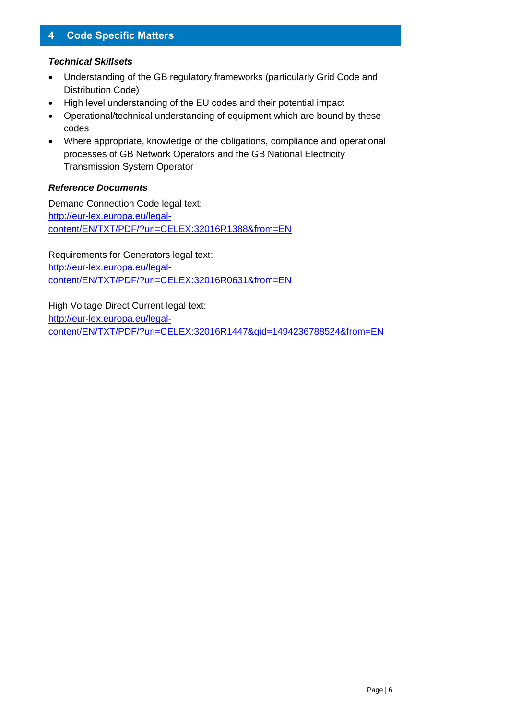# <span id="page-5-0"></span>**4 Code Specific Matters**

#### *Technical Skillsets*

- Understanding of the GB regulatory frameworks (particularly Grid Code and Distribution Code)
- High level understanding of the EU codes and their potential impact
- Operational/technical understanding of equipment which are bound by these codes
- Where appropriate, knowledge of the obligations, compliance and operational processes of GB Network Operators and the GB National Electricity Transmission System Operator

#### *Reference Documents*

Demand Connection Code legal text: [http://eur-lex.europa.eu/legal](http://eur-lex.europa.eu/legal-content/EN/TXT/PDF/?uri=CELEX:32016R1388&from=EN)[content/EN/TXT/PDF/?uri=CELEX:32016R1388&from=EN](http://eur-lex.europa.eu/legal-content/EN/TXT/PDF/?uri=CELEX:32016R1388&from=EN)

Requirements for Generators legal text: [http://eur-lex.europa.eu/legal](http://eur-lex.europa.eu/legal-content/EN/TXT/PDF/?uri=CELEX:32016R0631&from=EN)[content/EN/TXT/PDF/?uri=CELEX:32016R0631&from=EN](http://eur-lex.europa.eu/legal-content/EN/TXT/PDF/?uri=CELEX:32016R0631&from=EN)

High Voltage Direct Current legal text: [http://eur-lex.europa.eu/legal](http://eur-lex.europa.eu/legal-content/EN/TXT/PDF/?uri=CELEX:32016R1447&qid=1494236788524&from=EN)[content/EN/TXT/PDF/?uri=CELEX:32016R1447&qid=1494236788524&from=EN](http://eur-lex.europa.eu/legal-content/EN/TXT/PDF/?uri=CELEX:32016R1447&qid=1494236788524&from=EN)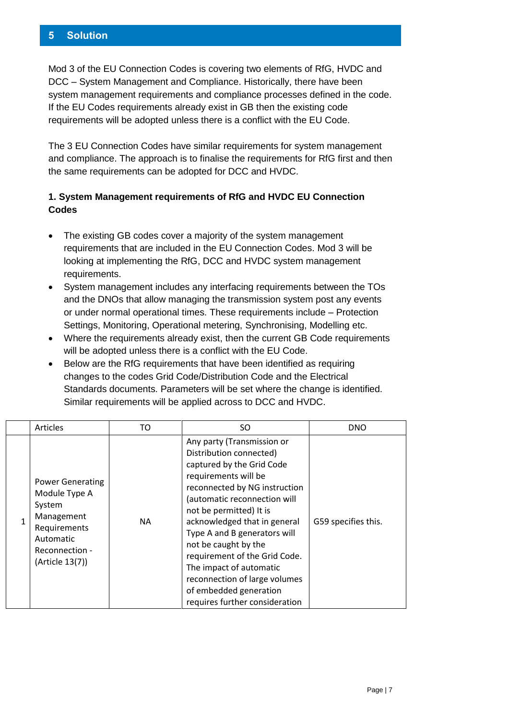### <span id="page-6-0"></span>**5 Solution**

Mod 3 of the EU Connection Codes is covering two elements of RfG, HVDC and DCC – System Management and Compliance. Historically, there have been system management requirements and compliance processes defined in the code. If the EU Codes requirements already exist in GB then the existing code requirements will be adopted unless there is a conflict with the EU Code.

The 3 EU Connection Codes have similar requirements for system management and compliance. The approach is to finalise the requirements for RfG first and then the same requirements can be adopted for DCC and HVDC.

# **1. System Management requirements of RfG and HVDC EU Connection Codes**

- The existing GB codes cover a majority of the system management requirements that are included in the EU Connection Codes. Mod 3 will be looking at implementing the RfG, DCC and HVDC system management requirements.
- System management includes any interfacing requirements between the TOs and the DNOs that allow managing the transmission system post any events or under normal operational times. These requirements include – Protection Settings, Monitoring, Operational metering, Synchronising, Modelling etc.
- Where the requirements already exist, then the current GB Code requirements will be adopted unless there is a conflict with the EU Code.
- Below are the RfG requirements that have been identified as requiring changes to the codes Grid Code/Distribution Code and the Electrical Standards documents. Parameters will be set where the change is identified. Similar requirements will be applied across to DCC and HVDC.

| Articles                                                                                                                           | TO  | SO.                                                                                                                                                                                                                                                                                                                                                                                                                                                     | <b>DNO</b>          |
|------------------------------------------------------------------------------------------------------------------------------------|-----|---------------------------------------------------------------------------------------------------------------------------------------------------------------------------------------------------------------------------------------------------------------------------------------------------------------------------------------------------------------------------------------------------------------------------------------------------------|---------------------|
| <b>Power Generating</b><br>Module Type A<br>System<br>Management<br>Requirements<br>Automatic<br>Reconnection -<br>(Article 13(7)) | NA. | Any party (Transmission or<br>Distribution connected)<br>captured by the Grid Code<br>requirements will be<br>reconnected by NG instruction<br>(automatic reconnection will<br>not be permitted) It is<br>acknowledged that in general<br>Type A and B generators will<br>not be caught by the<br>requirement of the Grid Code.<br>The impact of automatic<br>reconnection of large volumes<br>of embedded generation<br>requires further consideration | G59 specifies this. |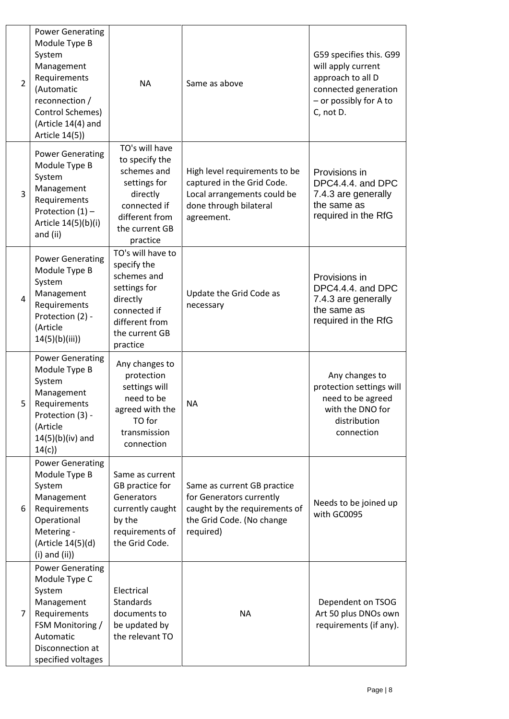| $\overline{2}$ | <b>Power Generating</b><br>Module Type B<br>System<br>Management<br>Requirements<br>(Automatic<br>reconnection /<br>Control Schemes)<br>(Article 14(4) and<br>Article 14(5)) | <b>NA</b>                                                                                                                                   | Same as above                                                                                                                      | G59 specifies this. G99<br>will apply current<br>approach to all D<br>connected generation<br>- or possibly for A to<br>C, not D. |
|----------------|------------------------------------------------------------------------------------------------------------------------------------------------------------------------------|---------------------------------------------------------------------------------------------------------------------------------------------|------------------------------------------------------------------------------------------------------------------------------------|-----------------------------------------------------------------------------------------------------------------------------------|
| 3              | <b>Power Generating</b><br>Module Type B<br>System<br>Management<br>Requirements<br>Protection $(1)$ -<br>Article 14(5)(b)(i)<br>and (ii)                                    | TO's will have<br>to specify the<br>schemes and<br>settings for<br>directly<br>connected if<br>different from<br>the current GB<br>practice | High level requirements to be<br>captured in the Grid Code.<br>Local arrangements could be<br>done through bilateral<br>agreement. | Provisions in<br>DPC4.4.4. and DPC<br>7.4.3 are generally<br>the same as<br>required in the RfG                                   |
| $\overline{4}$ | <b>Power Generating</b><br>Module Type B<br>System<br>Management<br>Requirements<br>Protection (2) -<br>(Article<br>14(5)(b)(iii))                                           | TO's will have to<br>specify the<br>schemes and<br>settings for<br>directly<br>connected if<br>different from<br>the current GB<br>practice | Update the Grid Code as<br>necessary                                                                                               | Provisions in<br>DPC4.4.4. and DPC<br>7.4.3 are generally<br>the same as<br>required in the RfG                                   |
| 5              | <b>Power Generating</b><br>Module Type B<br>System<br>Management<br>Requirements<br>Protection (3) -<br>(Article<br>$14(5)(b)(iv)$ and<br>14(c)                              | Any changes to<br>protection<br>settings will<br>need to be<br>agreed with the<br>TO for<br>transmission<br>connection                      | <b>NA</b>                                                                                                                          | Any changes to<br>protection settings will<br>need to be agreed<br>with the DNO for<br>distribution<br>connection                 |
| 6              | <b>Power Generating</b><br>Module Type B<br>System<br>Management<br>Requirements<br>Operational<br>Metering -<br>(Article 14(5)(d)<br>$(i)$ and $(ii)$                       | Same as current<br>GB practice for<br>Generators<br>currently caught<br>by the<br>requirements of<br>the Grid Code.                         | Same as current GB practice<br>for Generators currently<br>caught by the requirements of<br>the Grid Code. (No change<br>required) | Needs to be joined up<br>with GC0095                                                                                              |
| 7              | <b>Power Generating</b><br>Module Type C<br>System<br>Management<br>Requirements<br>FSM Monitoring /<br>Automatic<br>Disconnection at<br>specified voltages                  | Electrical<br><b>Standards</b><br>documents to<br>be updated by<br>the relevant TO                                                          | <b>NA</b>                                                                                                                          | Dependent on TSOG<br>Art 50 plus DNOs own<br>requirements (if any).                                                               |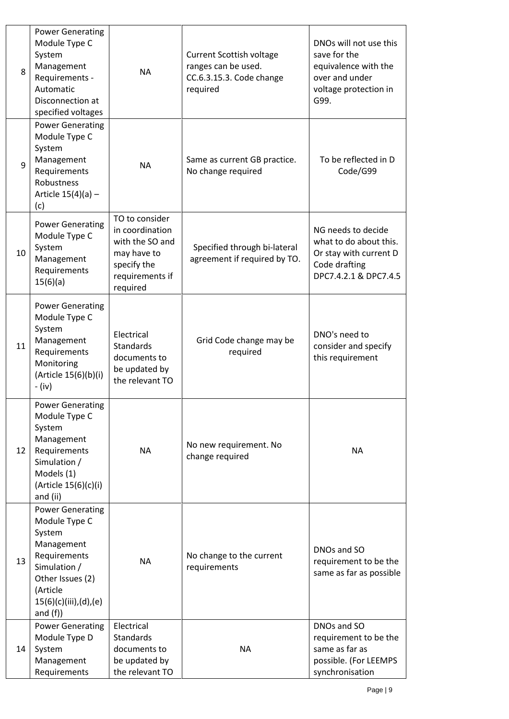| 8  | <b>Power Generating</b><br>Module Type C<br>System<br>Management<br>Requirements -<br>Automatic<br>Disconnection at<br>specified voltages                                | <b>NA</b>                                                                                                         | <b>Current Scottish voltage</b><br>ranges can be used.<br>CC.6.3.15.3. Code change<br>required | DNOs will not use this<br>save for the<br>equivalence with the<br>over and under<br>voltage protection in<br>G99. |
|----|--------------------------------------------------------------------------------------------------------------------------------------------------------------------------|-------------------------------------------------------------------------------------------------------------------|------------------------------------------------------------------------------------------------|-------------------------------------------------------------------------------------------------------------------|
| 9  | <b>Power Generating</b><br>Module Type C<br>System<br>Management<br>Requirements<br>Robustness<br>Article $15(4)(a)$ -<br>(c)                                            | <b>NA</b>                                                                                                         | Same as current GB practice.<br>No change required                                             | To be reflected in D<br>Code/G99                                                                                  |
| 10 | <b>Power Generating</b><br>Module Type C<br>System<br>Management<br>Requirements<br>15(6)(a)                                                                             | TO to consider<br>in coordination<br>with the SO and<br>may have to<br>specify the<br>requirements if<br>required | Specified through bi-lateral<br>agreement if required by TO.                                   | NG needs to decide<br>what to do about this.<br>Or stay with current D<br>Code drafting<br>DPC7.4.2.1 & DPC7.4.5  |
| 11 | <b>Power Generating</b><br>Module Type C<br>System<br>Management<br>Requirements<br>Monitoring<br>(Article 15(6)(b)(i)<br>- (iv)                                         | Electrical<br><b>Standards</b><br>documents to<br>be updated by<br>the relevant TO                                | Grid Code change may be<br>required                                                            | DNO's need to<br>consider and specify<br>this requirement                                                         |
| 12 | <b>Power Generating</b><br>Module Type C<br>System<br>Management<br>Requirements<br>Simulation /<br>Models (1)<br>(Article 15(6)(c)(i)<br>and (ii)                       | <b>NA</b>                                                                                                         | No new requirement. No<br>change required                                                      | <b>NA</b>                                                                                                         |
| 13 | <b>Power Generating</b><br>Module Type C<br>System<br>Management<br>Requirements<br>Simulation /<br>Other Issues (2)<br>(Article<br>15(6)(c)(iii),(d),(e)<br>and $(f)$ ) | <b>NA</b>                                                                                                         | No change to the current<br>requirements                                                       | DNOs and SO<br>requirement to be the<br>same as far as possible                                                   |
| 14 | <b>Power Generating</b><br>Module Type D<br>System<br>Management<br>Requirements                                                                                         | Electrical<br>Standards<br>documents to<br>be updated by<br>the relevant TO                                       | <b>NA</b>                                                                                      | DNOs and SO<br>requirement to be the<br>same as far as<br>possible. (For LEEMPS<br>synchronisation                |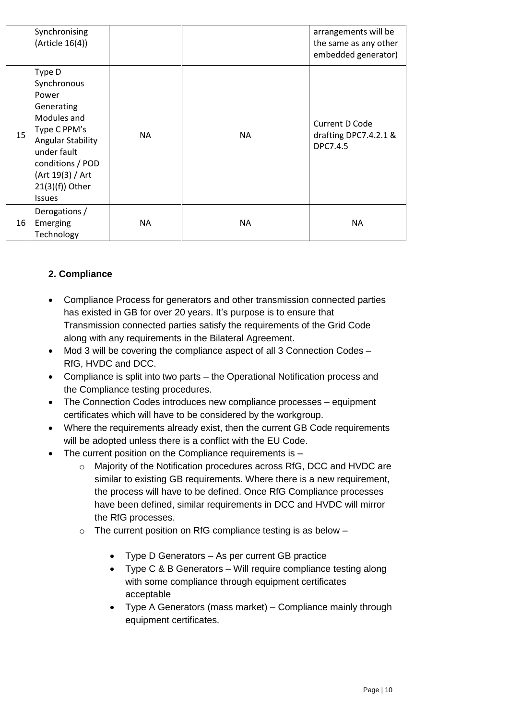|    | Synchronising<br>(Article 16(4))                                                                                                                                                                      |           |     | arrangements will be<br>the same as any other<br>embedded generator) |
|----|-------------------------------------------------------------------------------------------------------------------------------------------------------------------------------------------------------|-----------|-----|----------------------------------------------------------------------|
| 15 | Type D<br>Synchronous<br>Power<br>Generating<br>Modules and<br>Type C PPM's<br><b>Angular Stability</b><br>under fault<br>conditions / POD<br>(Art 19(3) / Art<br>$21(3)(f)$ ) Other<br><b>Issues</b> | <b>NA</b> | NA. | <b>Current D Code</b><br>drafting DPC7.4.2.1 &<br>DPC7.4.5           |
| 16 | Derogations /<br>Emerging<br>Technology                                                                                                                                                               | <b>NA</b> | NA  | <b>NA</b>                                                            |

# **2. Compliance**

- Compliance Process for generators and other transmission connected parties has existed in GB for over 20 years. It's purpose is to ensure that Transmission connected parties satisfy the requirements of the Grid Code along with any requirements in the Bilateral Agreement.
- Mod 3 will be covering the compliance aspect of all 3 Connection Codes RfG, HVDC and DCC.
- Compliance is split into two parts the Operational Notification process and the Compliance testing procedures.
- The Connection Codes introduces new compliance processes equipment certificates which will have to be considered by the workgroup.
- Where the requirements already exist, then the current GB Code requirements will be adopted unless there is a conflict with the EU Code.
- $\bullet$  The current position on the Compliance requirements is  $$ 
	- o Majority of the Notification procedures across RfG, DCC and HVDC are similar to existing GB requirements. Where there is a new requirement, the process will have to be defined. Once RfG Compliance processes have been defined, similar requirements in DCC and HVDC will mirror the RfG processes.
	- $\circ$  The current position on RfG compliance testing is as below  $-$ 
		- Type D Generators As per current GB practice
		- Type C & B Generators Will require compliance testing along with some compliance through equipment certificates acceptable
		- Type A Generators (mass market) Compliance mainly through equipment certificates.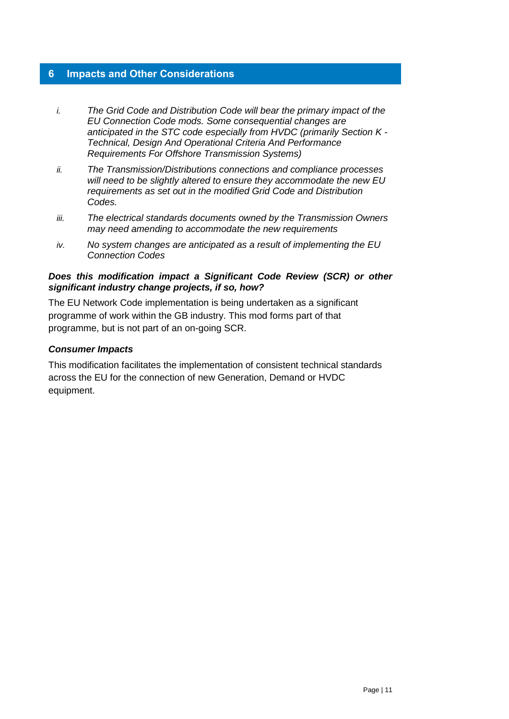#### <span id="page-10-0"></span>**6 Impacts and Other Considerations**

- *i. The Grid Code and Distribution Code will bear the primary impact of the EU Connection Code mods. Some consequential changes are anticipated in the STC code especially from HVDC (primarily Section K - Technical, Design And Operational Criteria And Performance Requirements For Offshore Transmission Systems)*
- *ii. The Transmission/Distributions connections and compliance processes will need to be slightly altered to ensure they accommodate the new EU requirements as set out in the modified Grid Code and Distribution Codes.*
- *iii. The electrical standards documents owned by the Transmission Owners may need amending to accommodate the new requirements*
- *iv. No system changes are anticipated as a result of implementing the EU Connection Codes*

#### *Does this modification impact a Significant Code Review (SCR) or other significant industry change projects, if so, how?*

The EU Network Code implementation is being undertaken as a significant programme of work within the GB industry. This mod forms part of that programme, but is not part of an on-going SCR.

#### *Consumer Impacts*

This modification facilitates the implementation of consistent technical standards across the EU for the connection of new Generation, Demand or HVDC equipment.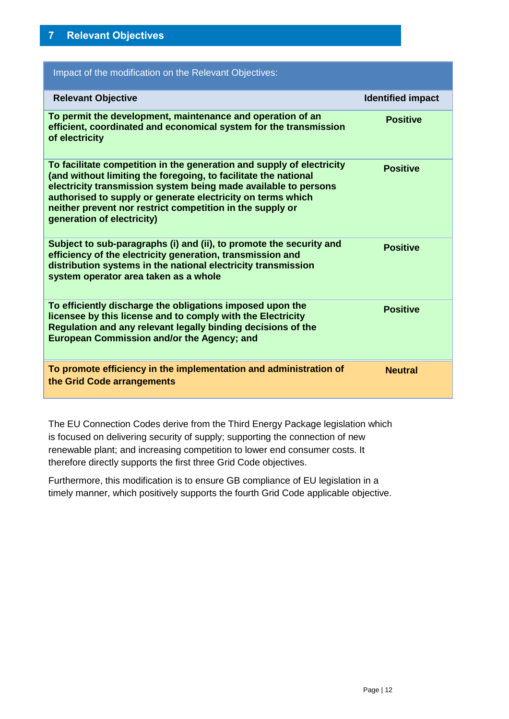<span id="page-11-0"></span>

| Impact of the modification on the Relevant Objectives:                                                                                                                                                                                                                                                                                                                |                          |
|-----------------------------------------------------------------------------------------------------------------------------------------------------------------------------------------------------------------------------------------------------------------------------------------------------------------------------------------------------------------------|--------------------------|
| <b>Relevant Objective</b>                                                                                                                                                                                                                                                                                                                                             | <b>Identified impact</b> |
| To permit the development, maintenance and operation of an<br>efficient, coordinated and economical system for the transmission<br>of electricity                                                                                                                                                                                                                     | <b>Positive</b>          |
| To facilitate competition in the generation and supply of electricity<br>(and without limiting the foregoing, to facilitate the national<br>electricity transmission system being made available to persons<br>authorised to supply or generate electricity on terms which<br>neither prevent nor restrict competition in the supply or<br>generation of electricity) | <b>Positive</b>          |
| Subject to sub-paragraphs (i) and (ii), to promote the security and<br>efficiency of the electricity generation, transmission and<br>distribution systems in the national electricity transmission<br>system operator area taken as a whole                                                                                                                           | <b>Positive</b>          |
| To efficiently discharge the obligations imposed upon the<br>licensee by this license and to comply with the Electricity<br>Regulation and any relevant legally binding decisions of the<br><b>European Commission and/or the Agency; and</b>                                                                                                                         | <b>Positive</b>          |
| To promote efficiency in the implementation and administration of<br>the Grid Code arrangements                                                                                                                                                                                                                                                                       | <b>Neutral</b>           |

The EU Connection Codes derive from the Third Energy Package legislation which is focused on delivering security of supply; supporting the connection of new renewable plant; and increasing competition to lower end consumer costs. It therefore directly supports the first three Grid Code objectives.

Furthermore, this modification is to ensure GB compliance of EU legislation in a timely manner, which positively supports the fourth Grid Code applicable objective.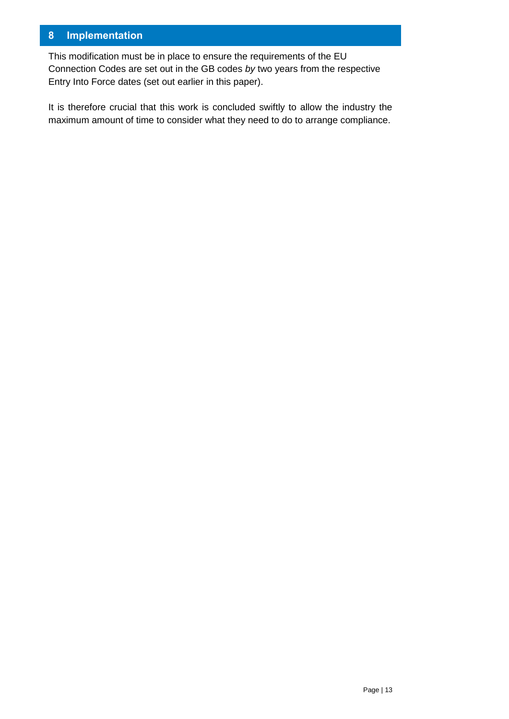# <span id="page-12-0"></span>**8 Implementation**

This modification must be in place to ensure the requirements of the EU Connection Codes are set out in the GB codes *by* two years from the respective Entry Into Force dates (set out earlier in this paper).

It is therefore crucial that this work is concluded swiftly to allow the industry the maximum amount of time to consider what they need to do to arrange compliance.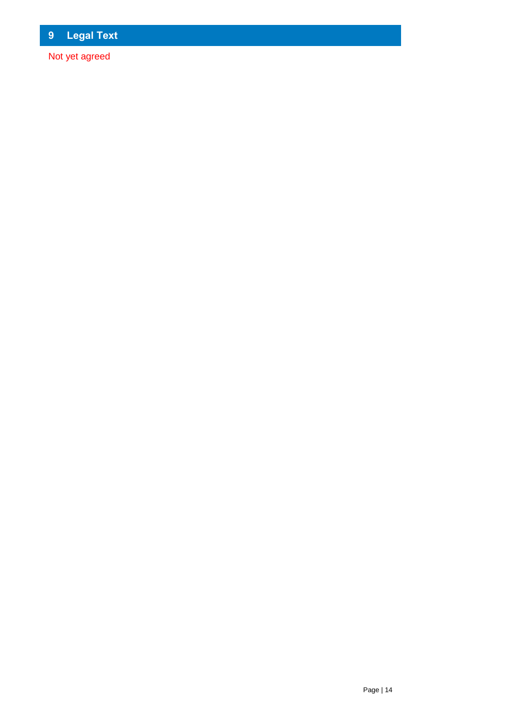<span id="page-13-0"></span>Not yet agreed